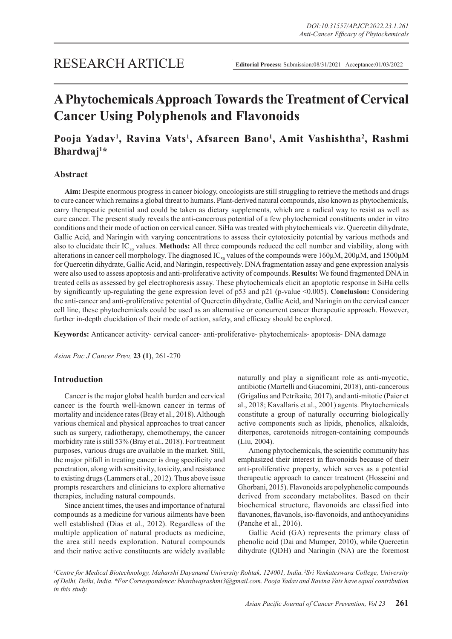# **A Phytochemicals Approach Towards the Treatment of Cervical Cancer Using Polyphenols and Flavonoids**

## **Pooja Yadav1 , Ravina Vats1 , Afsareen Bano1 , Amit Vashishtha2 , Rashmi Bhardwaj1 \***

## **Abstract**

**Aim:** Despite enormous progress in cancer biology, oncologists are still struggling to retrieve the methods and drugs to cure cancer which remains a global threat to humans. Plant-derived natural compounds, also known as phytochemicals, carry therapeutic potential and could be taken as dietary supplements, which are a radical way to resist as well as cure cancer. The present study reveals the anti-cancerous potential of a few phytochemical constituents under in vitro conditions and their mode of action on cervical cancer. SiHa was treated with phytochemicals viz. Quercetin dihydrate, Gallic Acid, and Naringin with varying concentrations to assess their cytotoxicity potential by various methods and also to elucidate their IC<sub>50</sub> values. Methods: All three compounds reduced the cell number and viability, along with alterations in cancer cell morphology. The diagnosed IC<sub>50</sub> values of the compounds were 160 $\mu$ M, 200 $\mu$ M, and 1500 $\mu$ M for Quercetin dihydrate, Gallic Acid, and Naringin, respectively. DNA fragmentation assay and gene expression analysis were also used to assess apoptosis and anti-proliferative activity of compounds. **Results:** We found fragmented DNA in treated cells as assessed by gel electrophoresis assay. These phytochemicals elicit an apoptotic response in SiHa cells by significantly up-regulating the gene expression level of p53 and p21 (p-value <0.005). **Conclusion:** Considering the anti-cancer and anti-proliferative potential of Quercetin dihydrate, Gallic Acid, and Naringin on the cervical cancer cell line, these phytochemicals could be used as an alternative or concurrent cancer therapeutic approach. However, further in-depth elucidation of their mode of action, safety, and efficacy should be explored.

**Keywords:** Anticancer activity- cervical cancer- anti-proliferative- phytochemicals- apoptosis- DNA damage

*Asian Pac J Cancer Prev,* **23 (1)**, 261-270

## **Introduction**

Cancer is the major global health burden and cervical cancer is the fourth well-known cancer in terms of mortality and incidence rates (Bray et al., 2018). Although various chemical and physical approaches to treat cancer such as surgery, radiotherapy, chemotherapy, the cancer morbidity rate is still 53% (Bray et al., 2018). For treatment purposes, various drugs are available in the market. Still, the major pitfall in treating cancer is drug specificity and penetration, along with sensitivity, toxicity, and resistance to existing drugs (Lammers et al., 2012). Thus above issue prompts researchers and clinicians to explore alternative therapies, including natural compounds.

Since ancient times, the uses and importance of natural compounds as a medicine for various ailments have been well established (Dias et al., 2012). Regardless of the multiple application of natural products as medicine, the area still needs exploration. Natural compounds and their native active constituents are widely available naturally and play a significant role as anti-mycotic, antibiotic (Martelli and Giacomini, 2018), anti-cancerous (Grigalius and Petrikaite, 2017), and anti-mitotic (Paier et al., 2018; Kavallaris et al., 2001) agents. Phytochemicals constitute a group of naturally occurring biologically active components such as lipids, phenolics, alkaloids, diterpenes, carotenoids nitrogen-containing compounds (Liu, 2004).

Among phytochemicals, the scientific community has emphasized their interest in flavonoids because of their anti-proliferative property, which serves as a potential therapeutic approach to cancer treatment (Hosseini and Ghorbani, 2015). Flavonoids are polyphenolic compounds derived from secondary metabolites. Based on their biochemical structure, flavonoids are classified into flavanones, flavanols, iso-flavonoids, and anthocyanidins (Panche et al., 2016).

Gallic Acid (GA) represents the primary class of phenolic acid (Dai and Mumper, 2010), while Quercetin dihydrate (QDH) and Naringin (NA) are the foremost

*1 Centre for Medical Biotechnology, Maharshi Dayanand University Rohtak, 124001, India. 2Sri Venkateswara College, University of Delhi, Delhi, India. \*For Correspondence: bhardwajrashmi3@gmail.com. Pooja Yadav and Ravina Vats have equal contribution in this study.*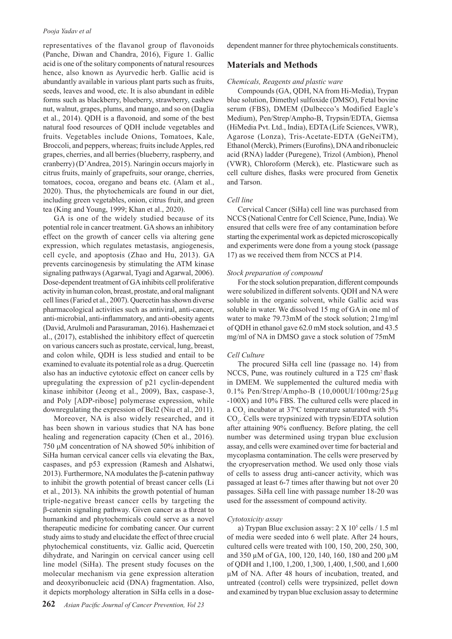#### *Pooja Yadav et al*

representatives of the flavanol group of flavonoids (Panche, Diwan and Chandra, 2016), Figure 1. Gallic acid is one of the solitary components of natural resources hence, also known as Ayurvedic herb. Gallic acid is abundantly available in various plant parts such as fruits, seeds, leaves and wood, etc. It is also abundant in edible forms such as blackberry, blueberry, strawberry, cashew nut, walnut, grapes, plums, and mango, and so on (Daglia et al., 2014). QDH is a flavonoid, and some of the best natural food resources of QDH include vegetables and fruits. Vegetables include Onions, Tomatoes, Kale, Broccoli, and peppers, whereas; fruits include Apples, red grapes, cherries, and all berries (blueberry, raspberry, and cranberry) (D'Andrea, 2015). Naringin occurs majorly in citrus fruits, mainly of grapefruits, sour orange, cherries, tomatoes, cocoa, oregano and beans etc. (Alam et al., 2020). Thus, the phytochemicals are found in our diet, including green vegetables, onion, citrus fruit, and green tea (King and Young, 1999; Khan et al., 2020).

GA is one of the widely studied because of its potential role in cancer treatment. GA shows an inhibitory effect on the growth of cancer cells via altering gene expression, which regulates metastasis, angiogenesis, cell cycle, and apoptosis (Zhao and Hu, 2013). GA prevents carcinogenesis by stimulating the ATM kinase signaling pathways (Agarwal, Tyagi and Agarwal, 2006). Dose-dependent treatment of GA inhibits cell proliferative activity in human colon, breast, prostate, and oral malignant cell lines (Faried et al., 2007). Quercetin has shown diverse pharmacological activities such as antiviral, anti-cancer, anti-microbial, anti-inflammatory, and anti-obesity agents (David, Arulmoli and Parasuraman, 2016). Hashemzaei et al., (2017), established the inhibitory effect of quercetin on various cancers such as prostate, cervical, lung, breast, and colon while, QDH is less studied and entail to be examined to evaluate its potential role as a drug. Quercetin also has an inductive cytotoxic effect on cancer cells by upregulating the expression of p21 cyclin-dependent kinase inhibitor (Jeong et al., 2009), Bax, caspase-3, and Poly [ADP-ribose] polymerase expression, while downregulating the expression of Bcl2 (Niu et al., 2011).

Moreover, NA is also widely researched, and it has been shown in various studies that NA has bone healing and regeneration capacity (Chen et al., 2016). 750 μM concentration of NA showed 50% inhibition of SiHa human cervical cancer cells via elevating the Bax, caspases, and p53 expression (Ramesh and Alshatwi, 2013). Furthermore, NA modulates the β-catenin pathway to inhibit the growth potential of breast cancer cells (Li et al., 2013). NA inhibits the growth potential of human triple-negative breast cancer cells by targeting the β-catenin signaling pathway. Given cancer as a threat to humankind and phytochemicals could serve as a novel therapeutic medicine for combating cancer. Our current study aims to study and elucidate the effect of three crucial phytochemical constituents, viz. Gallic acid, Quercetin dihydrate, and Naringin on cervical cancer using cell line model (SiHa). The present study focuses on the molecular mechanism via gene expression alteration and deoxyribonucleic acid (DNA) fragmentation. Also, it depicts morphology alteration in SiHa cells in a dosedependent manner for three phytochemicals constituents.

### **Materials and Methods**

#### *Chemicals, Reagents and plastic ware*

Compounds (GA, QDH, NA from Hi-Media), Trypan blue solution, Dimethyl sulfoxide (DMSO), Fetal bovine serum (FBS), DMEM (Dulbecco's Modified Eagle's Medium), Pen/Strep/Ampho-B, Trypsin/EDTA, Giemsa (HiMedia Pvt. Ltd., India), EDTA (Life Sciences, VWR), Agarose (Lonza), Tris-Acetate-EDTA (GeNeiTM), Ethanol (Merck), Primers (Eurofins), DNA and ribonucleic acid (RNA) ladder (Puregene), Trizol (Ambion), Phenol (VWR), Chloroform (Merck), etc. Plasticware such as cell culture dishes, flasks were procured from Genetix and Tarson.

#### *Cell line*

Cervical Cancer (SiHa) cell line was purchased from NCCS (National Centre for Cell Science, Pune, India). We ensured that cells were free of any contamination before starting the experimental work as depicted microscopically and experiments were done from a young stock (passage 17) as we received them from NCCS at P14.

#### *Stock preparation of compound*

For the stock solution preparation, different compounds were solubilized in different solvents. QDH and NA were soluble in the organic solvent, while Gallic acid was soluble in water. We dissolved 15 mg of GA in one ml of water to make 79.73mM of the stock solution; 21mg/ml of QDH in ethanol gave 62.0 mM stock solution, and 43.5 mg/ml of NA in DMSO gave a stock solution of 75mM

#### *Cell Culture*

The procured SiHa cell line (passage no. 14) from NCCS, Pune, was routinely cultured in a T25 cm<sup>2</sup> flask in DMEM. We supplemented the cultured media with 0.1% Pen/Strep/Ampho-B (10,000UI/100mg/25µg -100X) and 10% FBS. The cultured cells were placed in a CO<sub>2</sub> incubator at 37°C temperature saturated with 5%  $CO<sub>2</sub>$ . Cells were trypsinized with trypsin/EDTA solution after attaining 90% confluency. Before plating, the cell number was determined using trypan blue exclusion assay, and cells were examined over time for bacterial and mycoplasma contamination. The cells were preserved by the cryopreservation method. We used only those vials of cells to assess drug anti-cancer activity, which was passaged at least 6-7 times after thawing but not over 20 passages. SiHa cell line with passage number 18-20 was used for the assessment of compound activity.

#### *Cytotoxicity assay*

a) Trypan Blue exclusion assay:  $2 \text{ X } 10^5$  cells  $/ 1.5 \text{ ml}$ of media were seeded into 6 well plate. After 24 hours, cultured cells were treated with 100, 150, 200, 250, 300, and 350 µM of GA, 100, 120, 140, 160, 180 and 200 µM of QDH and 1,100, 1,200, 1,300, 1,400, 1,500, and 1,600 µM of NA. After 48 hours of incubation, treated, and untreated (control) cells were trypsinized, pellet down and examined by trypan blue exclusion assay to determine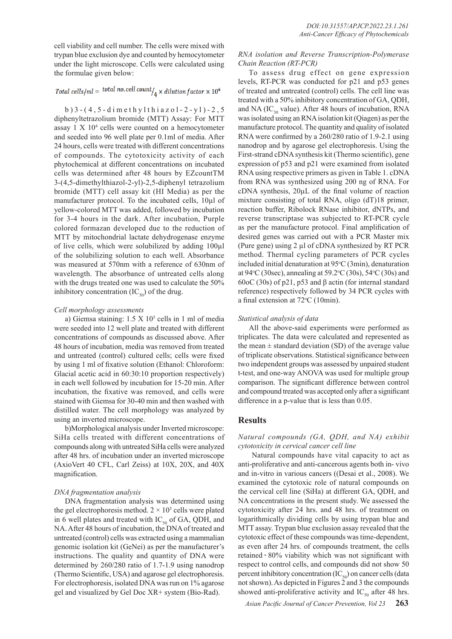cell viability and cell number. The cells were mixed with trypan blue exclusion dye and counted by hemocytometer under the light microscope. Cells were calculated using the formulae given below:

## Total cells/ml = total no. cell count/<sub>4</sub> × dilution factor × 10<sup>4</sup>

b ) 3 - ( 4 , 5 - d i m e t h y l t h i a z o l - 2 - y l ) - 2 , 5 diphenyltetrazolium bromide (MTT) Assay: For MTT assay 1 X 104 cells were counted on a hemocytometer and seeded into 96 well plate per 0.1ml of media. After 24 hours, cells were treated with different concentrations of compounds. The cytotoxicity activity of each phytochemical at different concentrations on incubated cells was determined after 48 hours by EZcountTM 3-(4,5-dimethylthiazol-2-yl)-2,5-diphenyl tetrazolium bromide (MTT) cell assay kit (HI Media) as per the manufacturer protocol. To the incubated cells, 10µl of yellow-colored MTT was added, followed by incubation for 3-4 hours in the dark. After incubation, Purple colored formazan developed due to the reduction of MTT by mitochondrial lactate dehydrogenase enzyme of live cells, which were solubilized by adding 100µl of the solubilizing solution to each well. Absorbance was measured at 570nm with a reference of 630nm of wavelength. The absorbance of untreated cells along with the drugs treated one was used to calculate the 50% inhibitory concentration  $(IC_{50})$  of the drug.

#### *Cell morphology assessments*

a) Giemsa staining:  $1.5 \times 10^5$  cells in 1 ml of media were seeded into 12 well plate and treated with different concentrations of compounds as discussed above. After 48 hours of incubation, media was removed from treated and untreated (control) cultured cells; cells were fixed by using 1 ml of fixative solution (Ethanol: Chloroform: Glacial acetic acid in 60:30:10 proportion respectively) in each well followed by incubation for 15-20 min. After incubation, the fixative was removed, and cells were stained with Giemsa for 30-40 min and then washed with distilled water. The cell morphology was analyzed by using an inverted microscope.

b)Morphological analysis under Inverted microscope: SiHa cells treated with different concentrations of compounds along with untreated SiHa cells were analyzed after 48 hrs. of incubation under an inverted microscope (AxioVert 40 CFL, Carl Zeiss) at 10X, 20X, and 40X magnification.

#### *DNA fragmentation analysis*

DNA fragmentation analysis was determined using the gel electrophoresis method.  $2 \times 10^5$  cells were plated in 6 well plates and treated with  $IC_{s0}$  of GA, QDH, and NA. After 48 hours of incubation, the DNA of treated and untreated (control) cells was extracted using a mammalian genomic isolation kit (GeNei) as per the manufacturer's instructions. The quality and quantity of DNA were determined by 260/280 ratio of 1.7-1.9 using nanodrop (Thermo Scientific, USA) and agarose gel electrophoresis. For electrophoresis, isolated DNA was run on 1% agarose gel and visualized by Gel Doc XR+ system (Bio-Rad).

### *RNA isolation and Reverse Transcription-Polymerase Chain Reaction (RT-PCR)*

To assess drug effect on gene expression levels, RT-PCR was conducted for p21 and p53 genes of treated and untreated (control) cells. The cell line was treated with a 50% inhibitory concentration of GA, QDH, and NA (IC $_{50}$  value). After 48 hours of incubation, RNA was isolated using an RNA isolation kit (Qiagen) as per the manufacture protocol. The quantity and quality of isolated RNA were confirmed by a 260/280 ratio of 1.9-2.1 using nanodrop and by agarose gel electrophoresis. Using the First-strand cDNA synthesis kit (Thermo scientific), gene expression of p53 and p21 were examined from isolated RNA using respective primers as given in Table 1. cDNA from RNA was synthesized using 200 ng of RNA. For cDNA synthesis, 20µL of the final volume of reaction mixture consisting of total RNA, oligo (dT)18 primer, reaction buffer, Ribolock RNase inhibitor, dNTPs, and reverse transcriptase was subjected to RT-PCR cycle as per the manufacture protocol. Final amplification of desired genes was carried out with a PCR Master mix (Pure gene) using 2 µl of cDNA synthesized by RT PCR method. Thermal cycling parameters of PCR cycles included initial denaturation at  $95^{\circ}C(3min)$ , denaturation at 94 °C (30sec), annealing at 59.2 °C (30s), 54 °C (30s) and 60oC (30s) of p21, p53 and β actin (for internal standard reference) respectively followed by 34 PCR cycles with a final extension at 72°C (10min).

#### *Statistical analysis of data*

All the above-said experiments were performed as triplicates. The data were calculated and represented as the mean  $\pm$  standard deviation (SD) of the average value of triplicate observations. Statistical significance between two independent groups was assessed by unpaired student t-test, and one-way ANOVA was used for multiple group comparison. The significant difference between control and compound treated was accepted only after a significant difference in a p-value that is less than 0.05.

### **Results**

## *Natural compounds (GA, QDH, and NA) exhibit cytotoxicity in cervical cancer cell line*

 Natural compounds have vital capacity to act as anti-proliferative and anti-cancerous agents both in- vivo and in-vitro in various cancers ((Desai et al., 2008). We examined the cytotoxic role of natural compounds on the cervical cell line (SiHa) at different GA, QDH, and NA concentrations in the present study. We assessed the cytotoxicity after 24 hrs. and 48 hrs. of treatment on logarithmically dividing cells by using trypan blue and MTT assay. Trypan blue exclusion assay revealed that the cytotoxic effect of these compounds was time-dependent, as even after 24 hrs. of compounds treatment, the cells retained ~ 80% viability which was not significant with respect to control cells, and compounds did not show 50 percent inhibitory concentration  $(IC_{50})$  on cancer cells (data not shown). As depicted in Figures  $\tilde{2}$  and 3 the compounds showed anti-proliferative activity and  $IC_{50}$  after 48 hrs.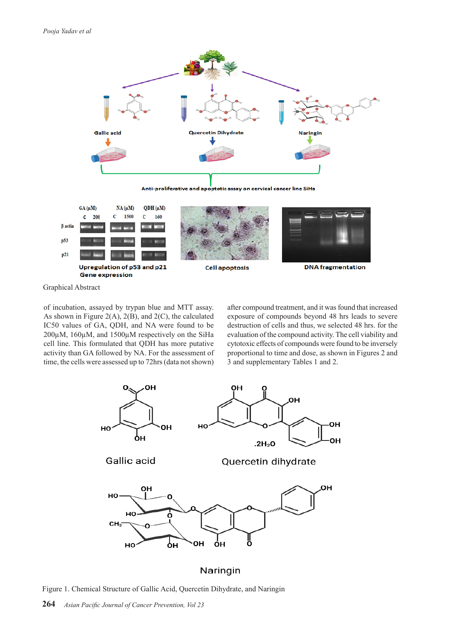



Graphical Abstract

of incubation, assayed by trypan blue and MTT assay. As shown in Figure 2(A), 2(B), and 2(C), the calculated IC50 values of GA, QDH, and NA were found to be 200µM, 160µM, and 1500µM respectively on the SiHa cell line. This formulated that QDH has more putative activity than GA followed by NA. For the assessment of time, the cells were assessed up to 72hrs (data not shown)

after compound treatment, and it was found that increased exposure of compounds beyond 48 hrs leads to severe destruction of cells and thus, we selected 48 hrs. for the evaluation of the compound activity. The cell viability and cytotoxic effects of compounds were found to be inversely proportional to time and dose, as shown in Figures 2 and 3 and supplementary Tables 1 and 2.



## Naringin

Figure 1. Chemical Structure of Gallic Acid, Quercetin Dihydrate, and Naringin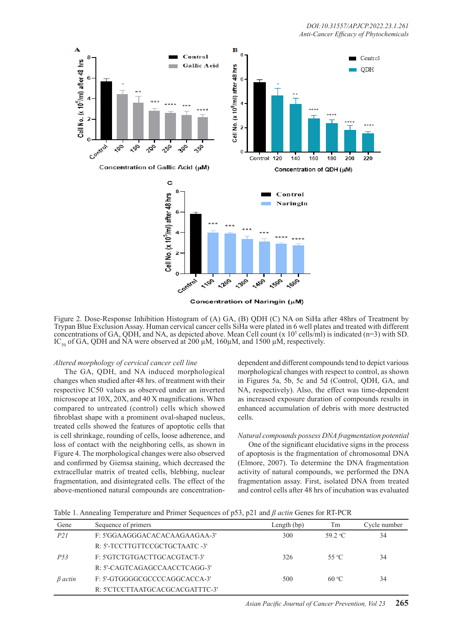

Concentration of Naringin (µM)

Figure 2. Dose-Response Inhibition Histogram of (A) GA, (B) QDH (C) NA on SiHa after 48hrs of Treatment by Trypan Blue Exclusion Assay. Human cervical cancer cells SiHa were plated in 6 well plates and treated with different concentrations of GA, QDH, and NA, as depicted above. Mean Cell count  $(x 10^5 \text{ cells/ml})$  is indicated (n=3) with SD. IC<sub>50</sub> of GA, QDH and NA were observed at 200  $\mu$ M, 160 $\mu$ M, and 1500  $\mu$ M, respectively.

#### *Altered morphology of cervical cancer cell line*

The GA, QDH, and NA induced morphological changes when studied after 48 hrs. of treatment with their respective IC50 values as observed under an inverted microscope at 10X, 20X, and 40 X magnifications. When compared to untreated (control) cells which showed fibroblast shape with a prominent oval-shaped nucleus, treated cells showed the features of apoptotic cells that is cell shrinkage, rounding of cells, loose adherence, and loss of contact with the neighboring cells, as shown in Figure 4. The morphological changes were also observed and confirmed by Giemsa staining, which decreased the extracellular matrix of treated cells, blebbing, nuclear fragmentation, and disintegrated cells. The effect of the above-mentioned natural compounds are concentration-

dependent and different compounds tend to depict various morphological changes with respect to control, as shown in Figures 5a, 5b, 5c and 5d (Control, QDH, GA, and NA, respectively). Also, the effect was time-dependent as increased exposure duration of compounds results in enhanced accumulation of debris with more destructed cells.

#### *Natural compounds possess DNA fragmentation potential*

One of the significant elucidative signs in the process of apoptosis is the fragmentation of chromosomal DNA (Elmore, 2007). To determine the DNA fragmentation activity of natural compounds, we performed the DNA fragmentation assay. First, isolated DNA from treated and control cells after 48 hrs of incubation was evaluated

Table 1. Annealing Temperature and Primer Sequences of p53, p21 and *β actin* Genes for RT-PCR

| Gene            | Sequence of primers             | Length $(bp)$ | Тm               | Cycle number |
|-----------------|---------------------------------|---------------|------------------|--------------|
| P21             | F: 5'GGAAGGGACACACAAGAAGAA-3'   | 300           | 59 $2^{\circ}$ C | 34           |
|                 | R: 5'-TCCTTGTTCCGCTGCTAATC -3'  |               |                  |              |
| P <sub>53</sub> | F: 5'GTCTGTGACTTGCACGTACT-3'    | 326           | 55 °C            | 34           |
|                 | R: 5'-CAGTCAGAGCCAACCTCAGG-3'   |               |                  |              |
| $\beta$ actin   | F: 5'-GTGGGGCGCCCCAGGCACCA-3'   | 500           | $60^{\circ}$ C   | 34           |
|                 | R: 5'CTCCTTAATGCACGCACGATTTC-3' |               |                  |              |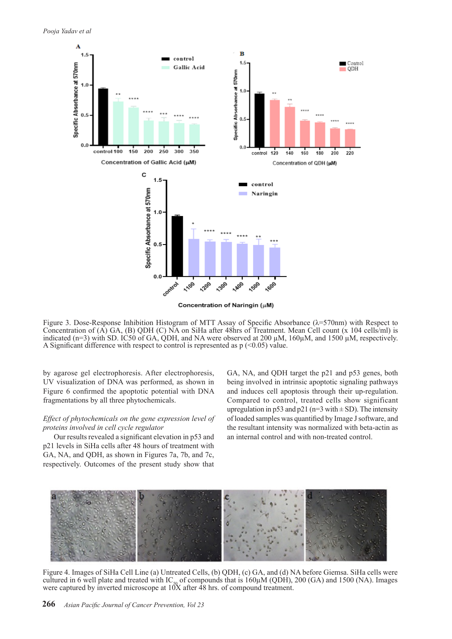

Figure 3. Dose-Response Inhibition Histogram of MTT Assay of Specific Absorbance ( $\lambda$ =570nm) with Respect to Concentration of (A) GA, (B) QDH (C) NA on SiHa after 48hrs of Treatment. Mean Cell count (x 104 cells/ml) is indicated (n=3) with SD. IC50 of GA, ODH, and NA were observed at 200  $\mu$ M, 160 $\mu$ M, and 1500  $\mu$ M, respectively. A Significant difference with respect to control is represented as  $p \approx 0.05$  value.

by agarose gel electrophoresis. After electrophoresis, UV visualization of DNA was performed, as shown in Figure 6 confirmed the apoptotic potential with DNA fragmentations by all three phytochemicals.

## *Effect of phytochemicals on the gene expression level of proteins involved in cell cycle regulator*

Our results revealed a significant elevation in p53 and p21 levels in SiHa cells after 48 hours of treatment with GA, NA, and QDH, as shown in Figures 7a, 7b, and 7c, respectively. Outcomes of the present study show that

GA, NA, and QDH target the p21 and p53 genes, both being involved in intrinsic apoptotic signaling pathways and induces cell apoptosis through their up-regulation. Compared to control, treated cells show significant upregulation in p53 and p21 (n=3 with  $\pm$  SD). The intensity of loaded samples was quantified by Image J software, and the resultant intensity was normalized with beta-actin as an internal control and with non-treated control.



Figure 4. Images of SiHa Cell Line (a) Untreated Cells, (b) QDH, (c) GA, and (d) NA before Giemsa. SiHa cells were cultured in 6 well plate and treated with IC<sub>50</sub> of compounds that is 160 $\mu$ M (QDH), 200 (GA) and 1500 (NA). Images were captured by inverted microscope at 10X after 48 hrs. of compound treatment.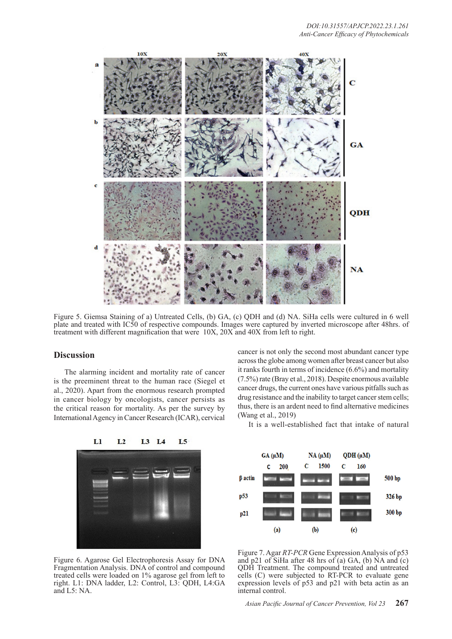

Figure 5. Giemsa Staining of a) Untreated Cells, (b) GA, (c) QDH and (d) NA. SiHa cells were cultured in 6 well plate and treated with IC50 of respective compounds. Images were captured by inverted microscope after 48hrs. of treatment with different magnification that were 10X, 20X and 40X from left to right.

## **Discussion**

The alarming incident and mortality rate of cancer is the preeminent threat to the human race (Siegel et al., 2020). Apart from the enormous research prompted in cancer biology by oncologists, cancer persists as the critical reason for mortality. As per the survey by International Agency in Cancer Research (ICAR), cervical

cancer is not only the second most abundant cancer type across the globe among women after breast cancer but also it ranks fourth in terms of incidence (6.6%) and mortality (7.5%) rate (Bray et al., 2018). Despite enormous available cancer drugs, the current ones have various pitfalls such as drug resistance and the inability to target cancer stem cells; thus, there is an ardent need to find alternative medicines (Wang et al., 2019)



It is a well-established fact that intake of natural



Figure 6. Agarose Gel Electrophoresis Assay for DNA Fragmentation Analysis. DNA of control and compound treated cells were loaded on 1% agarose gel from left to right. L1: DNA ladder, L2: Control, L3: QDH, L4:GA and L5: NA.

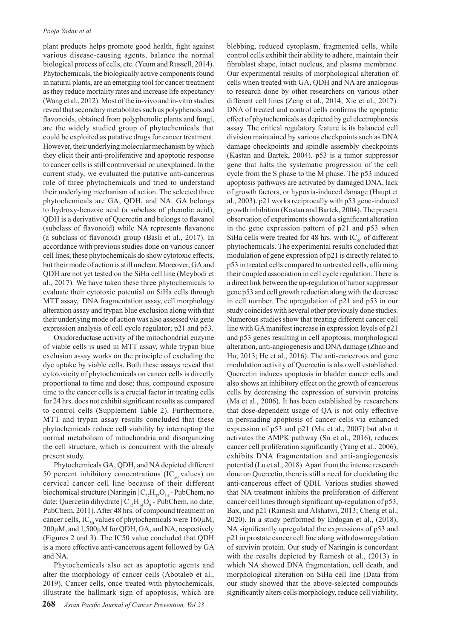plant products helps promote good health, fight against various disease-causing agents, balance the normal biological process of cells, etc. (Yeum and Russell, 2014). Phytochemicals, the biologically active components found in natural plants, are an emerging tool for cancer treatment as they reduce mortality rates and increase life expectancy (Wang et al., 2012). Most of the in-vivo and in-vitro studies reveal that secondary metabolites such as polyphenols and flavonoids, obtained from polyphenolic plants and fungi, are the widely studied group of phytochemicals that could be exploited as putative drugs for cancer treatment. However, their underlying molecular mechanism by which they elicit their anti-proliferative and apoptotic response to cancer cells is still controversial or unexplained. In the current study, we evaluated the putative anti-cancerous role of three phytochemicals and tried to understand their underlying mechanism of action. The selected three phytochemicals are GA, QDH, and NA. GA belongs to hydroxy-benzoic acid (a subclass of phenolic acid), QDH is a derivative of Quercetin and belongs to flavanol (subclass of flavonoid) while NA represents flavanone (a subclass of flavonoid) group (Basli et al., 2017). In accordance with previous studies done on various cancer cell lines, these phytochemicals do show cytotoxic effects, but their mode of action is still unclear. Moreover, GA and QDH are not yet tested on the SiHa cell line (Meybodi et al., 2017). We have taken these three phytochemicals to evaluate their cytotoxic potential on SiHa cells through MTT assay, DNA fragmentation assay, cell morphology alteration assay and trypan blue exclusion along with that their underlying mode of action was also assessed via gene expression analysis of cell cycle regulator; p21 and p53.

Oxidoreductase activity of the mitochondrial enzyme of viable cells is used in MTT assay, while trypan blue exclusion assay works on the principle of excluding the dye uptake by viable cells. Both these assays reveal that cytotoxicity of phytochemicals on cancer cells is directly proportional to time and dose; thus, compound exposure time to the cancer cells is a crucial factor in treating cells for 24 hrs. does not exhibit significant results as compared to control cells (Supplement Table 2). Furthermore, MTT and trypan assay results concluded that these phytochemicals reduce cell viability by interrupting the normal metabolism of mitochondria and disorganizing the cell structure, which is concurrent with the already present study.

Phytochemicals GA, QDH, and NA depicted different 50 percent inhibitory concentrations (IC $_{50}$  values) on cervical cancer cell line because of their different biochemical structure (Naringin  $|C_{27}H_{32}O_{14}$  - PubChem, no date; Quercetin dihydrate  $|C_{15}H_{14}O_9$  - PubChem, no date; PubChem, 2011). After 48 hrs. of compound treatment on cancer cells, IC<sub>50</sub> values of phytochemicals were 160 $\mu$ M, 200µM, and 1,500µM for QDH, GA, and NA, respectively (Figures 2 and 3). The IC50 value concluded that QDH is a more effective anti-cancerous agent followed by GA and NA.

Phytochemicals also act as apoptotic agents and alter the morphology of cancer cells (Abotaleb et al., 2019). Cancer cells, once treated with phytochemicals, illustrate the hallmark sign of apoptosis, which are blebbing, reduced cytoplasm, fragmented cells, while control cells exhibit their ability to adhere, maintain their fibroblast shape, intact nucleus, and plasma membrane. Our experimental results of morphological alteration of cells when treated with GA, QDH and NA are analogous to research done by other researchers on various other different cell lines (Zeng et al., 2014; Xie et al., 2017). DNA of treated and control cells confirms the apoptotic effect of phytochemicals as depicted by gel electrophoresis assay. The critical regulatory feature is its balanced cell division maintained by various checkpoints such as DNA damage checkpoints and spindle assembly checkpoints (Kastan and Bartek, 2004). p53 is a tumor suppressor gene that halts the systematic progression of the cell cycle from the S phase to the M phase. The p53 induced apoptosis pathways are activated by damaged DNA, lack of growth factors, or hypoxia-induced damage (Haupt et al., 2003). p21 works reciprocally with p53 gene-induced growth inhibition (Kastan and Bartek, 2004). The present observation of experiments showed a significant alteration in the gene expression pattern of p21 and p53 when SiHa cells were treated for 48 hrs. with  $IC_{50}$  of different phytochemicals. The experimental results concluded that modulation of gene expression of p21 is directly related to p53 in treated cells compared to untreated cells, affirming their coupled association in cell cycle regulation. There is a direct link between the up-regulation of tumor suppressor gene p53 and cell growth reduction along with the decrease in cell number. The upregulation of p21 and p53 in our study coincides with several other previously done studies. Numerous studies show that treating different cancer cell line with GA manifest increase in expression levels of p21 and p53 genes resulting in cell apoptosis, morphological alteration, anti-angiogenesis and DNA damage (Zhao and Hu, 2013; He et al., 2016). The anti-cancerous and gene modulation activity of Quercetin is also well established. Quercetin induces apoptosis in bladder cancer cells and also shows an inhibitory effect on the growth of cancerous cells by decreasing the expression of survivin proteins (Ma et al., 2006). It has been established by researchers that dose-dependent usage of QA is not only effective in persuading apoptosis of cancer cells via enhanced expression of p53 and p21 (Mu et al., 2007) but also it activates the AMPK pathway (Su et al., 2016), reduces cancer cell proliferation significantly (Yang et al., 2006), exhibits DNA fragmentation and anti-angiogenesis potential (Lu et al., 2018). Apart from the intense research done on Quercetin, there is still a need for elucidating the anti-cancerous effect of QDH. Various studies showed that NA treatment inhibits the proliferation of different cancer cell lines through significant up-regulation of p53, Bax, and p21 (Ramesh and Alshatwi, 2013; Cheng et al., 2020). In a study performed by Erdogan et al., (2018), NA significantly upregulated the expressions of p53 and p21 in prostate cancer cell line along with downregulation of survivin protein. Our study of Naringin is concordant with the results depicted by Ramesh et al., (2013) in which NA showed DNA fragmentation, cell death, and morphological alteration on SiHa cell line (Data from our study showed that the above-selected compounds significantly alters cells morphology, reduce cell viability,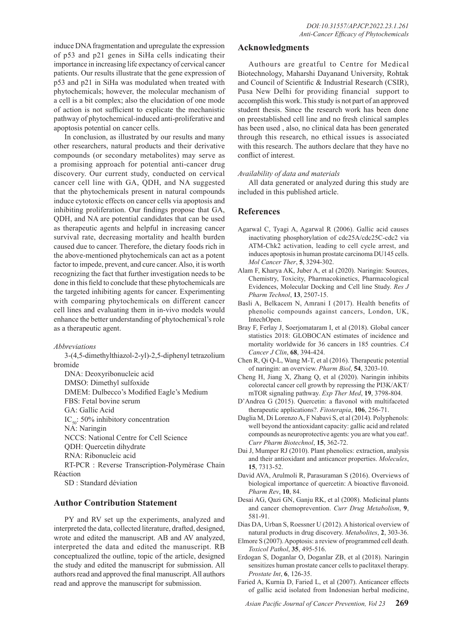induce DNA fragmentation and upregulate the expression of p53 and p21 genes in SiHa cells indicating their importance in increasing life expectancy of cervical cancer patients. Our results illustrate that the gene expression of p53 and p21 in SiHa was modulated when treated with phytochemicals; however, the molecular mechanism of a cell is a bit complex; also the elucidation of one mode of action is not sufficient to explicate the mechanistic pathway of phytochemical-induced anti-proliferative and apoptosis potential on cancer cells.

In conclusion, as illustrated by our results and many other researchers, natural products and their derivative compounds (or secondary metabolites) may serve as a promising approach for potential anti-cancer drug discovery. Our current study, conducted on cervical cancer cell line with GA, QDH, and NA suggested that the phytochemicals present in natural compounds induce cytotoxic effects on cancer cells via apoptosis and inhibiting proliferation. Our findings propose that GA, QDH, and NA are potential candidates that can be used as therapeutic agents and helpful in increasing cancer survival rate, decreasing mortality and health burden caused due to cancer. Therefore, the dietary foods rich in the above-mentioned phytochemicals can act as a potent factor to impede, prevent, and cure cancer. Also, it is worth recognizing the fact that further investigation needs to be done in this field to conclude that these phytochemicals are the targeted inhibiting agents for cancer. Experimenting with comparing phytochemicals on different cancer cell lines and evaluating them in in-vivo models would enhance the better understanding of phytochemical's role as a therapeutic agent.

*Abbreviations*

3-(4,5-dimethylthiazol-2-yl)-2,5-diphenyl tetrazolium bromide

DNA: Deoxyribonucleic acid

DMSO: Dimethyl sulfoxide

DMEM: Dulbecco's Modified Eagle's Medium

FBS: Fetal bovine serum

GA: Gallic Acid

 $IC_{\rm so}$ : 50% inhibitory concentration

NA: Naringin

NCCS: National Centre for Cell Science

QDH: Quercetin dihydrate

RNA: Ribonucleic acid

RT-PCR : Reverse Transcription-Polymérase Chain Réaction

SD : Standard déviation

## **Author Contribution Statement**

PY and RV set up the experiments, analyzed and interpreted the data, collected literature, drafted, designed, wrote and edited the manuscript. AB and AV analyzed, interpreted the data and edited the manuscript. RB conceptualized the outline, topic of the article, designed the study and edited the manuscript for submission. All authors read and approved the final manuscript. All authors read and approve the manuscript for submission.

## **Acknowledgments**

Authours are greatful to Centre for Medical Biotechnology, Maharshi Dayanand University, Rohtak and Council of Scientific & Industrial Research (CSIR), Pusa New Delhi for providing financial support to accomplish this work. This study is not part of an approved student thesis. Since the research work has been done on preestablished cell line and no fresh clinical samples has been used , also, no clinical data has been generated through this research, no ethical issues is associated with this research. The authors declare that they have no conflict of interest.

### *Availability of data and materials*

All data generated or analyzed during this study are included in this published article.

## **References**

- Agarwal C, Tyagi A, Agarwal R (2006). Gallic acid causes inactivating phosphorylation of cdc25A/cdc25C-cdc2 via ATM-Chk2 activation, leading to cell cycle arrest, and induces apoptosis in human prostate carcinoma DU145 cells. *Mol Cancer Ther*, **5**, 3294-302.
- Alam F, Kharya AK, Juber A, et al (2020). Naringin: Sources, Chemistry, Toxicity, Pharmacokinetics, Pharmacological Evidences, Molecular Docking and Cell line Study. *Res J Pharm Technol*, **13**, 2507-15.
- Basli A, Belkacem N, Amrani I (2017). Health benefits of phenolic compounds against cancers, London, UK, IntechOpen.
- Bray F, Ferlay J, Soerjomataram I, et al (2018). Global cancer statistics 2018: GLOBOCAN estimates of incidence and mortality worldwide for 36 cancers in 185 countries. *CA Cancer J Clin*, **68**, 394-424.
- Chen R, Qi Q-L, Wang M-T, et al (2016). Therapeutic potential of naringin: an overview. *Pharm Biol*, **54**, 3203-10.
- Cheng H, Jiang X, Zhang Q, et al (2020). Naringin inhibits colorectal cancer cell growth by repressing the PI3K/AKT/ mTOR signaling pathway. *Exp Ther Med*, **19**, 3798-804.
- D'Andrea G (2015). Quercetin: a flavonol with multifaceted therapeutic applications?. *Fitoterapia*, **106**, 256-71.
- Daglia M, Di Lorenzo A, F Nabavi S, et al (2014). Polyphenols: well beyond the antioxidant capacity: gallic acid and related compounds as neuroprotective agents: you are what you eat!. *Curr Pharm Biotechnol*, **15**, 362-72.
- Dai J, Mumper RJ (2010). Plant phenolics: extraction, analysis and their antioxidant and anticancer properties. *Molecules*, **15**, 7313-52.
- David AVA, Arulmoli R, Parasuraman S (2016). Overviews of biological importance of quercetin: A bioactive flavonoid. *Pharm Rev*, **10**, 84.
- Desai AG, Qazi GN, Ganju RK, et al (2008). Medicinal plants and cancer chemoprevention. *Curr Drug Metabolism*, **9**, 581-91.
- Dias DA, Urban S, Roessner U (2012). A historical overview of natural products in drug discovery. *Metabolites*, **2**, 303-36.
- Elmore S (2007). Apoptosis: a review of programmed cell death. *Toxicol Pathol*, **35**, 495-516.
- Erdogan S, Doganlar O, Doganlar ZB, et al (2018). Naringin sensitizes human prostate cancer cells to paclitaxel therapy. *Prostate Int*, **6**, 126-35.
- Faried A, Kurnia D, Faried L, et al (2007). Anticancer effects of gallic acid isolated from Indonesian herbal medicine,